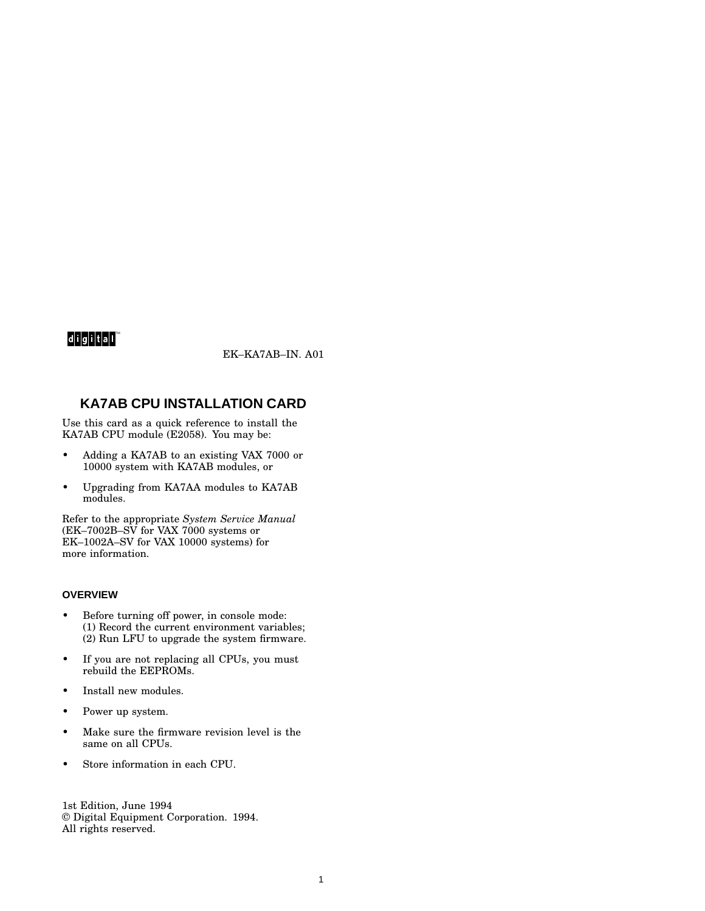# $d$ igital $^{\mathsf{m}}$

EK–KA7AB–IN. A01

# **KA7AB CPU INSTALLATION CARD**

Use this card as a quick reference to install the KA7AB CPU module (E2058). You may be:

- Adding a KA7AB to an existing VAX 7000 or 10000 system with KA7AB modules, or
- Upgrading from KA7AA modules to KA7AB modules.

Refer to the appropriate *System Service Manual* (EK–7002B–SV for VAX 7000 systems or EK–1002A–SV for VAX 10000 systems) for more information.

# **OVERVIEW**

- Before turning off power, in console mode: (1) Record the current environment variables; (2) Run LFU to upgrade the system firmware.
- If you are not replacing all CPUs, you must rebuild the EEPROMs.
- Install new modules.
- Power up system.
- Make sure the firmware revision level is the same on all CPUs.
- Store information in each CPU.

1st Edition, June 1994 © Digital Equipment Corporation. 1994. All rights reserved.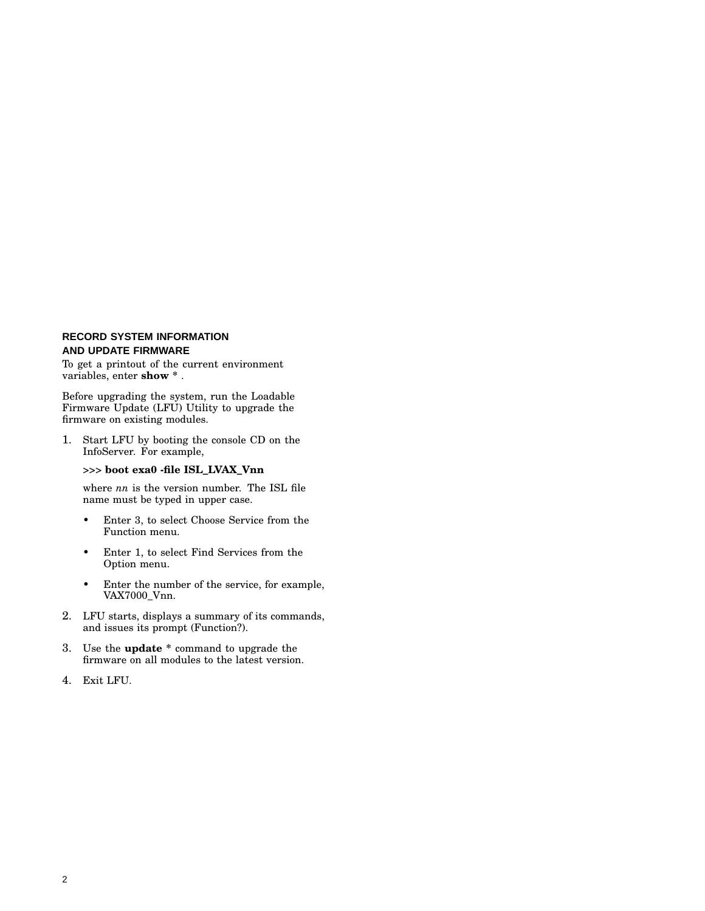# **RECORD SYSTEM INFORMATION AND UPDATE FIRMWARE**

To get a printout of the current environment variables, enter **show \*** .

Before upgrading the system, run the Loadable Firmware Update (LFU) Utility to upgrade the firmware on existing modules.

1. Start LFU by booting the console CD on the InfoServer. For example,

#### >>> **boot exa0 -file ISL\_LVAX\_Vnn**

where *nn* is the version number. The ISL file name must be typed in upper case.

- Enter 3, to select Choose Service from the Function menu.
- Enter 1, to select Find Services from the Option menu.
- Enter the number of the service, for example, VAX7000\_Vnn.
- 2. LFU starts, displays a summary of its commands, and issues its prompt (Function?).
- 3. Use the **update \*** command to upgrade the firmware on all modules to the latest version.
- 4. Exit LFU.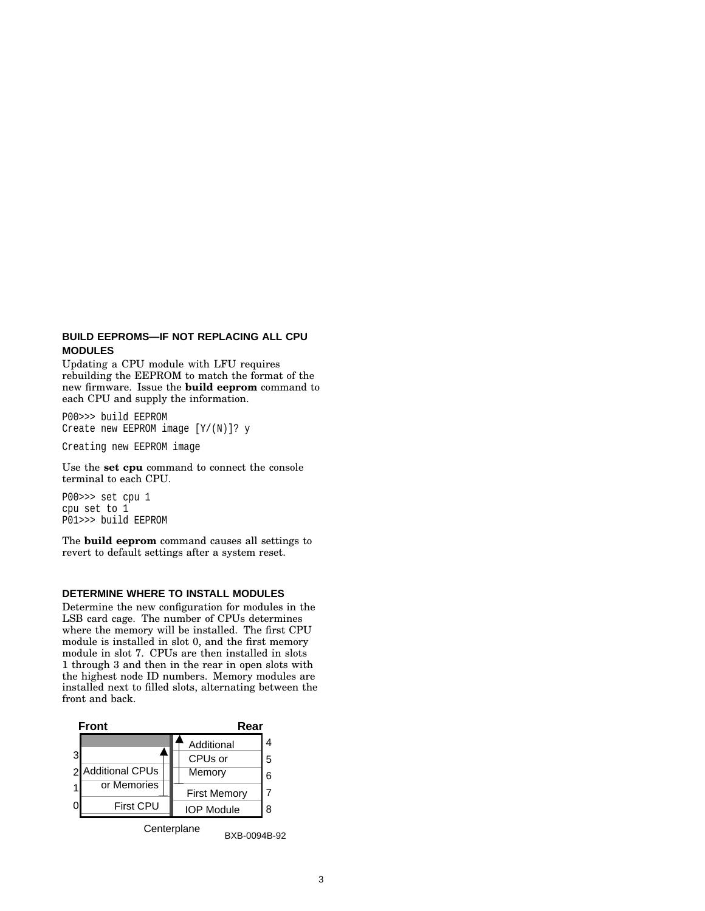#### **BUILD EEPROMS—IF NOT REPLACING ALL CPU MODULES**

Updating a CPU module with LFU requires rebuilding the EEPROM to match the format of the new firmware. Issue the **build eeprom** command to each CPU and supply the information.

P00>>> build EEPROM Create new EEPROM image [Y/(N)]? y

Creating new EEPROM image

Use the **set cpu** command to connect the console terminal to each CPU.

P00>>> set cpu 1 cpu set to 1 P01>>> build EEPROM

The **build eeprom** command causes all settings to revert to default settings after a system reset.

#### **DETERMINE WHERE TO INSTALL MODULES**

Determine the new configuration for modules in the LSB card cage. The number of CPUs determines where the memory will be installed. The first CPU module is installed in slot 0, and the first memory module in slot 7. CPUs are then installed in slots 1 through 3 and then in the rear in open slots with the highest node ID numbers. Memory modules are installed next to filled slots, alternating between the front and back.



BXB-0094B-92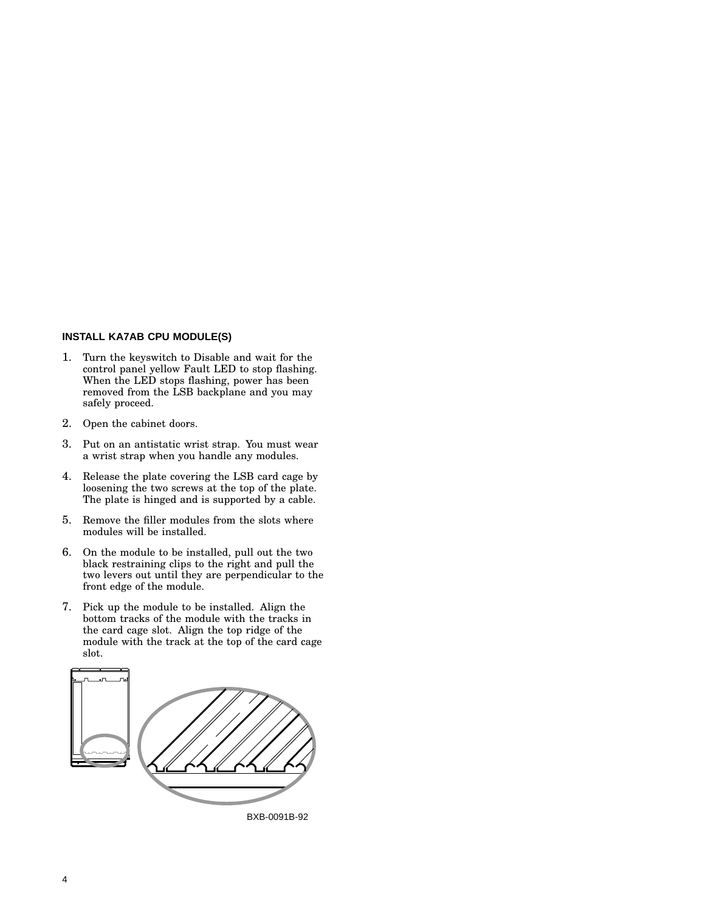# **INSTALL KA7AB CPU MODULE(S)**

- 1. Turn the keyswitch to Disable and wait for the control panel yellow Fault LED to stop flashing. When the LED stops flashing, power has been removed from the LSB backplane and you may safely proceed.
- 2. Open the cabinet doors.
- 3. Put on an antistatic wrist strap. You must wear a wrist strap when you handle any modules.
- 4. Release the plate covering the LSB card cage by loosening the two screws at the top of the plate. The plate is hinged and is supported by a cable.
- 5. Remove the filler modules from the slots where modules will be installed.
- 6. On the module to be installed, pull out the two black restraining clips to the right and pull the two levers out until they are perpendicular to the front edge of the module.
- 7. Pick up the module to be installed. Align the bottom tracks of the module with the tracks in the card cage slot. Align the top ridge of the module with the track at the top of the card cage slot.

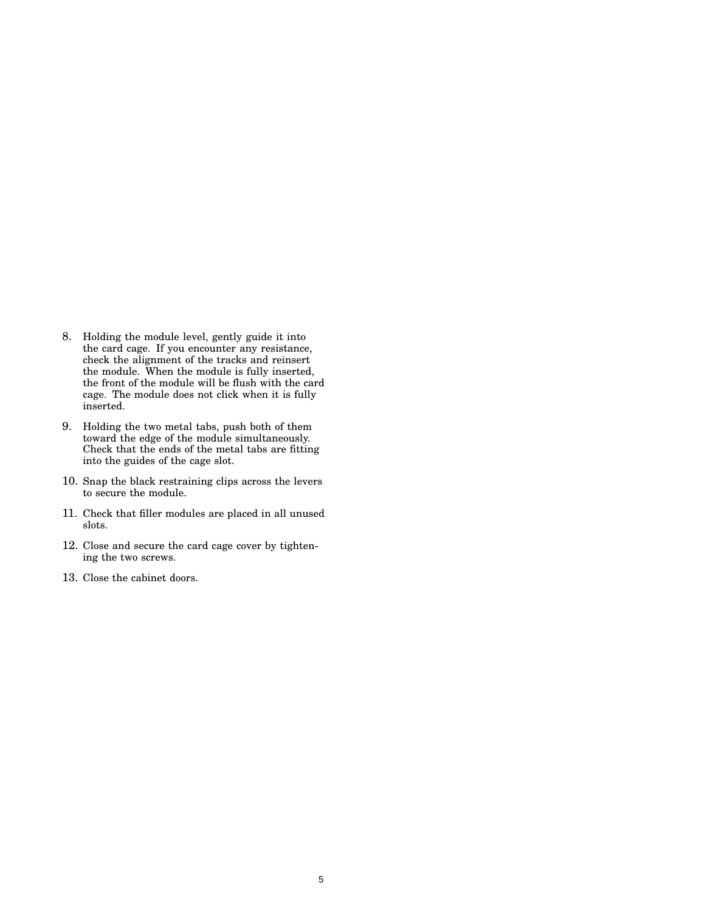- 8. Holding the module level, gently guide it into the card cage. If you encounter any resistance, check the alignment of the tracks and reinsert the module. When the module is fully inserted, the front of the module will be flush with the card cage. The module does not click when it is fully inserted.
- 9. Holding the two metal tabs, push both of them toward the edge of the module simultaneously. Check that the ends of the metal tabs are fitting into the guides of the cage slot.
- 10. Snap the black restraining clips across the levers to secure the module.
- 11. Check that filler modules are placed in all unused slots.
- 12. Close and secure the card cage cover by tightening the two screws.
- 13. Close the cabinet doors.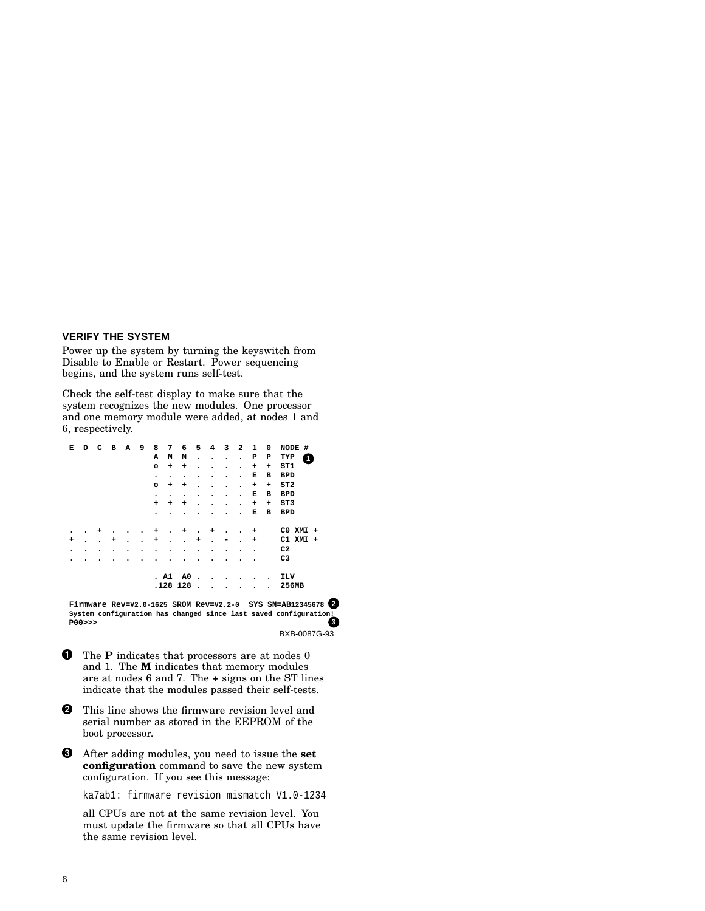#### **VERIFY THE SYSTEM**

Power up the system by turning the keyswitch from Disable to Enable or Restart. Power sequencing begins, and the system runs self-test.

Check the self-test display to make sure that the system recognizes the new modules. One processor and one memory module were added, at nodes 1 and 6, respectively.

| Е | D | с | $\overline{B}$ | А | 9 | 8         | 7    | 6        | 5                        | $\overline{\mathbf{4}}$ | з | $\overline{\mathbf{2}}$ | 1 | 0         | #<br>NODE       |
|---|---|---|----------------|---|---|-----------|------|----------|--------------------------|-------------------------|---|-------------------------|---|-----------|-----------------|
|   |   |   |                |   |   | А         | М    | М        | $\bullet$                | ٠                       | ٠ | $\bullet$               | ₽ | Р         | TYP<br>4        |
|   |   |   |                |   |   | $\circ$   | ٠    | +        |                          |                         |   |                         | + | +         | ST1             |
|   |   |   |                |   |   | $\bullet$ | ٠    |          |                          |                         | ٠ |                         | Е | в         | <b>BPD</b>      |
|   |   |   |                |   |   | $\circ$   | ٠    | +        |                          |                         |   |                         | + | +         | ST2             |
|   |   |   |                |   |   | ٠         | ۰    |          |                          | ٠                       | ٠ | ٠                       | Е | в         | <b>BPD</b>      |
|   |   |   |                |   |   | ÷         | ٠    | +        |                          |                         |   |                         | + | $\ddot{}$ | ST <sub>3</sub> |
|   |   |   |                |   |   |           |      |          |                          |                         |   |                         | Е | в         | <b>BPD</b>      |
|   |   |   |                |   |   |           |      |          |                          |                         |   |                         |   |           |                 |
|   |   |   |                |   |   |           |      |          |                          |                         |   |                         |   |           |                 |
| ٠ |   | ٠ |                |   |   | +         |      | ٠        |                          |                         |   |                         | + |           | CO XMI +        |
| + | ٠ |   | +              |   |   | +         | ۰    |          | +                        | ٠                       |   |                         | + |           | $C1$ XMI +      |
| ٠ |   |   |                |   |   |           |      |          |                          |                         |   |                         | ٠ |           | C <sub>2</sub>  |
| ۰ |   |   |                |   |   |           |      |          |                          |                         |   |                         |   |           | C <sub>3</sub>  |
|   |   |   |                |   |   |           |      |          |                          |                         |   |                         |   |           |                 |
|   |   |   |                |   |   |           | . A1 | A0       | $\overline{\phantom{a}}$ |                         |   |                         |   | $\bullet$ | ILV             |
|   |   |   |                |   |   |           |      | .128 128 |                          |                         |   |                         |   |           | 256MB           |

BXB-0087G-93 **P00>>> Firmware Rev=V2.0-1625 SROM Rev=V2.2-0 SYS SN=AB12345678 2 System configuration has changed since last saved configuration! 3**

 $\bf{0}$ **O** The **P** indicates that processors are at nodes 0 and 1. The **M** indicates that memory modules are at nodes 6 and 7. The **+** signs on the ST lines indicate that the modules passed their self-tests.

- **2** This line shows the firmware revision level and serial number as stored in the EEPROM of the boot processor.
- After adding modules, you need to issue the **set configuration** command to save the new system configuration. If you see this message:

ka7ab1: firmware revision mismatch V1.0-1234

all CPUs are not at the same revision level. You must update the firmware so that all CPUs have the same revision level.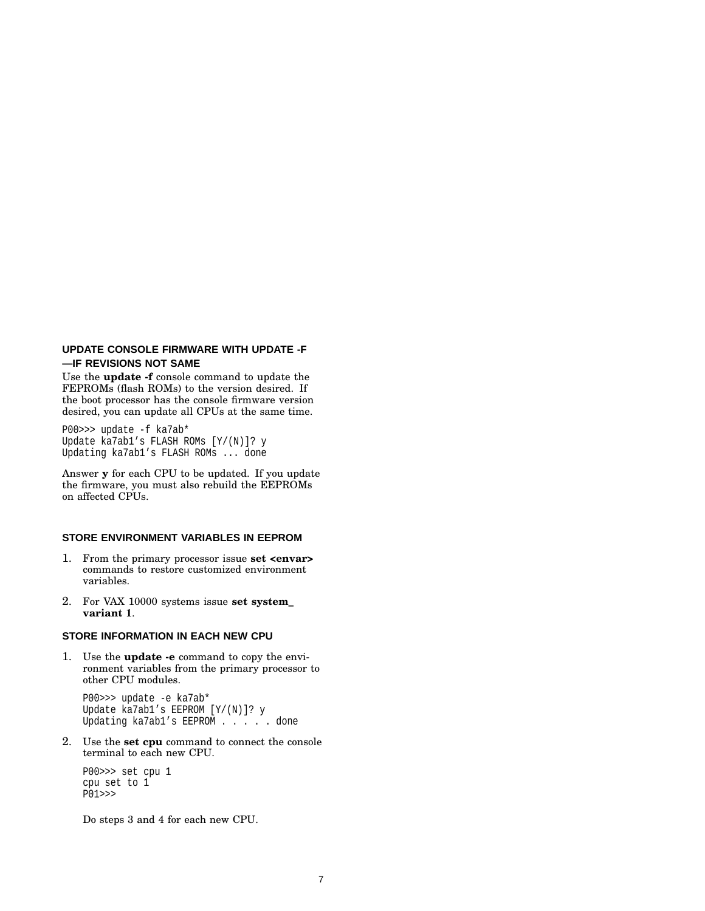# **UPDATE CONSOLE FIRMWARE WITH UPDATE -F —IF REVISIONS NOT SAME**

Use the **update -f** console command to update the FEPROMs (flash ROMs) to the version desired. If the boot processor has the console firmware version desired, you can update all CPUs at the same time.

P00>>> update -f ka7ab\* Update ka7ab1's FLASH ROMs [Y/(N)]? y Updating ka7ab1's FLASH ROMs ... done

Answer **y** for each CPU to be updated. If you update the firmware, you must also rebuild the EEPROMs on affected CPUs.

# **STORE ENVIRONMENT VARIABLES IN EEPROM**

- 1. From the primary processor issue **set <envar>** commands to restore customized environment variables.
- 2. For VAX 10000 systems issue **set system\_ variant 1**.

# **STORE INFORMATION IN EACH NEW CPU**

1. Use the **update -e** command to copy the environment variables from the primary processor to other CPU modules.

P00>>> update -e ka7ab\* Update ka7ab1's EEPROM [Y/(N)]? y Updating ka7ab1's EEPROM . . . . done

2. Use the **set cpu** command to connect the console terminal to each new CPU.

P00>>> set cpu 1 cpu set to 1 P01>>>

Do steps 3 and 4 for each new CPU.